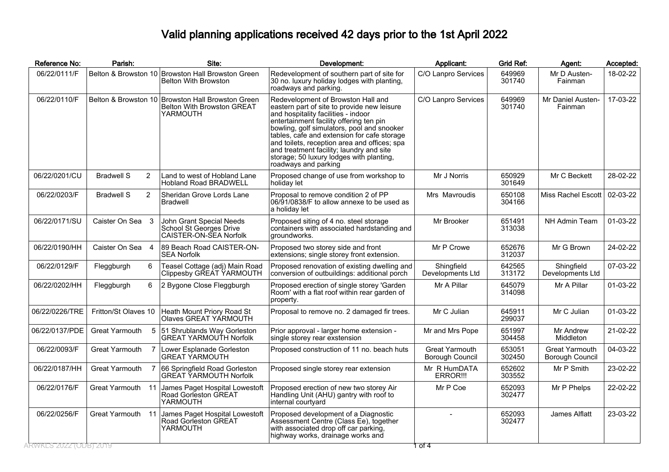## Valid planning applications received 42 days prior to the 1st April 2022

| Reference No:         | Parish:                             | Site:                                                                                              | Development:                                                                                                                                                                                                                                                                                                                                                                                                                     | Applicant:                               | <b>Grid Ref:</b> | Agent:                                   | Accepted: |
|-----------------------|-------------------------------------|----------------------------------------------------------------------------------------------------|----------------------------------------------------------------------------------------------------------------------------------------------------------------------------------------------------------------------------------------------------------------------------------------------------------------------------------------------------------------------------------------------------------------------------------|------------------------------------------|------------------|------------------------------------------|-----------|
| 06/22/0111/F          |                                     | Belton & Browston 10 Browston Hall Browston Green<br><b>Belton With Browston</b>                   | Redevelopment of southern part of site for<br>30 no. luxury holiday lodges with planting,<br>roadways and parking.                                                                                                                                                                                                                                                                                                               | C/O Lanpro Services                      | 649969<br>301740 | Mr D Austen-<br>Fainman                  | 18-02-22  |
| 06/22/0110/F          |                                     | Belton & Browston 10 Browston Hall Browston Green<br><b>Belton With Browston GREAT</b><br>YARMOUTH | Redevelopment of Browston Hall and<br>eastern part of site to provide new leisure<br>and hospitality facilities - indoor<br>entertainment facility offering ten pin<br>bowling, golf simulators, pool and snooker<br>tables, cafe and extension for cafe storage<br>and toilets, reception area and offices; spa<br>and treatment facility; laundry and site<br>storage; 50 luxury lodges with planting,<br>roadways and parking | C/O Lanpro Services                      | 649969<br>301740 | Mr Daniel Austen-<br>Fainman             | 17-03-22  |
| 06/22/0201/CU         | <b>Bradwell S</b><br>2              | Land to west of Hobland Lane<br><b>Hobland Road BRADWELL</b>                                       | Proposed change of use from workshop to<br>holiday let                                                                                                                                                                                                                                                                                                                                                                           | Mr J Norris                              | 650929<br>301649 | Mr C Beckett                             | 28-02-22  |
| 06/22/0203/F          | $\overline{2}$<br><b>Bradwell S</b> | Sheridan Grove Lords Lane<br><b>Bradwell</b>                                                       | Proposal to remove condition 2 of PP<br>06/91/0838/F to allow annexe to be used as<br>a holiday let                                                                                                                                                                                                                                                                                                                              | Mrs Mavroudis                            | 650108<br>304166 | Miss Rachel Escott                       | 02-03-22  |
| 06/22/0171/SU         | Caister On Sea 3                    | John Grant Special Needs<br>School St Georges Drive<br>CAISTER-ON-SEA Norfolk                      | Proposed siting of 4 no. steel storage<br>containers with associated hardstanding and<br>groundworks.                                                                                                                                                                                                                                                                                                                            | Mr Brooker                               | 651491<br>313038 | NH Admin Team                            | 01-03-22  |
| 06/22/0190/HH         | Caister On Sea 4                    | 89 Beach Road CAISTER-ON-<br><b>SEA Norfolk</b>                                                    | Proposed two storey side and front<br>extensions; single storey front extension.                                                                                                                                                                                                                                                                                                                                                 | Mr P Crowe                               | 652676<br>312037 | Mr G Brown                               | 24-02-22  |
| 06/22/0129/F          | 6<br>Fleggburgh                     | Teasel Cottage (adj) Main Road<br>Clippesby GREAT YARMOUTH                                         | Proposed renovation of existing dwelling and<br>conversion of outbuildings: additional porch                                                                                                                                                                                                                                                                                                                                     | Shingfield<br>Developments Ltd           | 642565<br>313172 | Shingfield<br>Developments Ltd           | 07-03-22  |
| 06/22/0202/HH         | Fleggburgh<br>6                     | 2 Bygone Close Fleggburgh                                                                          | Proposed erection of single storey 'Garden<br>Room' with a flat roof within rear garden of<br>property.                                                                                                                                                                                                                                                                                                                          | Mr A Pillar                              | 645079<br>314098 | Mr A Pillar                              | 01-03-22  |
| 06/22/0226/TRE        | Fritton/St Olaves 10                | Heath Mount Priory Road St<br>Olaves GREAT YARMOUTH                                                | Proposal to remove no. 2 damaged fir trees.                                                                                                                                                                                                                                                                                                                                                                                      | Mr C Julian                              | 645911<br>299037 | Mr C Julian                              | 01-03-22  |
| 06/22/0137/PDE        | <b>Great Yarmouth</b>               | 5<br>51 Shrublands Way Gorleston<br><b>GREAT YARMOUTH Norfolk</b>                                  | Prior approval - larger home extension -<br>single storey rear exstension                                                                                                                                                                                                                                                                                                                                                        | Mr and Mrs Pope                          | 651997<br>304458 | Mr Andrew<br>Middleton                   | 21-02-22  |
| 06/22/0093/F          | Great Yarmouth                      | Lower Esplanade Gorleston<br><b>GREAT YARMOUTH</b>                                                 | Proposed construction of 11 no. beach huts                                                                                                                                                                                                                                                                                                                                                                                       | <b>Great Yarmouth</b><br>Borough Council | 653051<br>302450 | <b>Great Yarmouth</b><br>Borough Council | 04-03-22  |
| 06/22/0187/HH         | Great Yarmouth                      | 66 Springfield Road Gorleston<br><b>GREAT YARMOUTH Norfolk</b>                                     | Proposed single storey rear extension                                                                                                                                                                                                                                                                                                                                                                                            | Mr R HumDATA<br>ERROR!!!                 | 652602<br>303552 | Mr P Smith                               | 23-02-22  |
| 06/22/0176/F          | Great Yarmouth 11                   | James Paget Hospital Lowestoft<br>Road Gorleston GREAT<br>YARMOUTH                                 | Proposed erection of new two storey Air<br>Handling Unit (AHU) gantry with roof to<br>internal courtyard                                                                                                                                                                                                                                                                                                                         | Mr P Coe                                 | 652093<br>302477 | Mr P Phelps                              | 22-02-22  |
| 06/22/0256/F          | Great Yarmouth 11                   | James Paget Hospital Lowestoft<br>Road Gorleston GREAT<br>YARMOUTH                                 | Proposed development of a Diagnostic<br>Assessment Centre (Class Ee), together<br>with associated drop off car parking,<br>highway works, drainage works and                                                                                                                                                                                                                                                                     |                                          | 652093<br>302477 | James Alflatt                            | 23-03-22  |
| RWKLS 2022 (ODB) 2019 |                                     |                                                                                                    |                                                                                                                                                                                                                                                                                                                                                                                                                                  | ा ठा ४                                   |                  |                                          |           |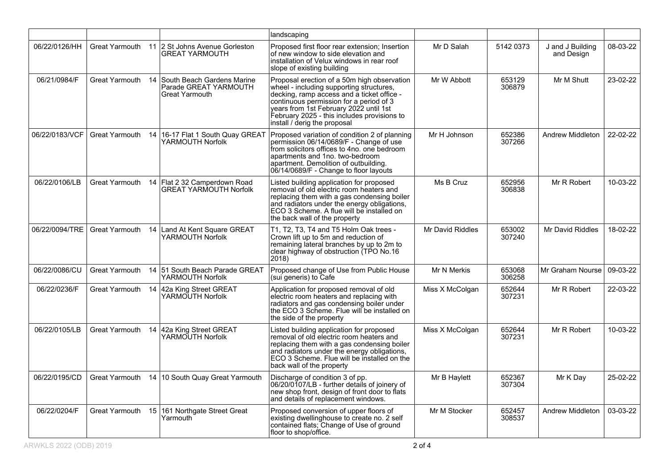|                |                       |                                                                          | landscaping                                                                                                                                                                                                                                                                                               |                  |                  |                                |          |
|----------------|-----------------------|--------------------------------------------------------------------------|-----------------------------------------------------------------------------------------------------------------------------------------------------------------------------------------------------------------------------------------------------------------------------------------------------------|------------------|------------------|--------------------------------|----------|
| 06/22/0126/HH  |                       | Great Yarmouth 11 2 St Johns Avenue Gorleston<br>GREAT YARMOUTH          | Proposed first floor rear extension; Insertion<br>of new window to side elevation and<br>installation of Velux windows in rear roof<br>slope of existing building                                                                                                                                         | Mr D Salah       | 5142 0373        | J and J Building<br>and Design | 08-03-22 |
| 06/21/0984/F   | Great Yarmouth        | 14 South Beach Gardens Marine<br>Parade GREAT YARMOUTH<br>Great Yarmouth | Proposal erection of a 50m high observation<br>wheel - including supporting structures,<br>decking, ramp access and a ticket office -<br>continuous permission for a period of 3<br>years from 1st February 2022 until 1st<br>February 2025 - this includes provisions to<br>install / derig the proposal | Mr W Abbott      | 653129<br>306879 | Mr M Shutt                     | 23-02-22 |
| 06/22/0183/VCF |                       | Great Yarmouth 14 16-17 Flat 1 South Quay GREAT<br>YARMOUTH Norfolk      | Proposed variation of condition 2 of planning<br>permission 06/14/0689/F - Change of use<br>from solicitors offices to 4no. one bedroom<br>apartments and 1no. two-bedroom<br>apartment. Demolition of outbuilding.<br>06/14/0689/F - Change to floor layouts                                             | Mr H Johnson     | 652386<br>307266 | Andrew Middleton               | 22-02-22 |
| 06/22/0106/LB  | Great Yarmouth        | 14 Flat 2 32 Camperdown Road<br><b>GREAT YARMOUTH Norfolk</b>            | Listed building application for proposed<br>removal of old electric room heaters and<br>replacing them with a gas condensing boiler<br>and radiators under the energy obligations,<br>ECO 3 Scheme. A flue will be installed on<br>the back wall of the property                                          | Ms B Cruz        | 652956<br>306838 | Mr R Robert                    | 10-03-22 |
| 06/22/0094/TRE |                       | Great Yarmouth 14 Land At Kent Square GREAT<br>YARMOUTH Norfolk          | T1, T2, T3, T4 and T5 Holm Oak trees -<br>Crown lift up to 5m and reduction of<br>remaining lateral branches by up to 2m to<br>clear highway of obstruction (TPO No.16<br>2018)                                                                                                                           | Mr David Riddles | 653002<br>307240 | Mr David Riddles               | 18-02-22 |
| 06/22/0086/CU  | <b>Great Yarmouth</b> | 14 51 South Beach Parade GREAT<br>YARMOUTH Norfolk                       | Proposed change of Use from Public House<br>(sui generis) to Cafe                                                                                                                                                                                                                                         | Mr N Merkis      | 653068<br>306258 | Mr Graham Nourse               | 09-03-22 |
| 06/22/0236/F   |                       | Great Yarmouth 14 42a King Street GREAT<br>YARMOUTH Norfolk              | Application for proposed removal of old<br>electric room heaters and replacing with<br>radiators and gas condensing boiler under<br>the ECO 3 Scheme. Flue will be installed on<br>the side of the property                                                                                               | Miss X McColgan  | 652644<br>307231 | Mr R Robert                    | 22-03-22 |
| 06/22/0105/LB  | Great Yarmouth        | 14 42a King Street GREAT<br>YARMOUTH Norfolk                             | Listed building application for proposed<br>removal of old electric room heaters and<br>replacing them with a gas condensing boiler<br>and radiators under the energy obligations,<br>ECO 3 Scheme. Flue will be installed on the<br>back wall of the property                                            | Miss X McColgan  | 652644<br>307231 | Mr R Robert                    | 10-03-22 |
| 06/22/0195/CD  |                       | Great Yarmouth 14 10 South Quay Great Yarmouth                           | Discharge of condition 3 of pp.<br>06/20/0107/LB - further details of ioinery of<br>new shop front, design of front door to flats<br>and details of replacement windows.                                                                                                                                  | Mr B Haylett     | 652367<br>307304 | Mr K Day                       | 25-02-22 |
| 06/22/0204/F   | Great Yarmouth        | 15 161 Northgate Street Great<br>Yarmouth                                | Proposed conversion of upper floors of<br>existing dwellinghouse to create no. 2 self<br>contained flats; Change of Use of ground<br>floor to shop/office.                                                                                                                                                | Mr M Stocker     | 652457<br>308537 | Andrew Middleton               | 03-03-22 |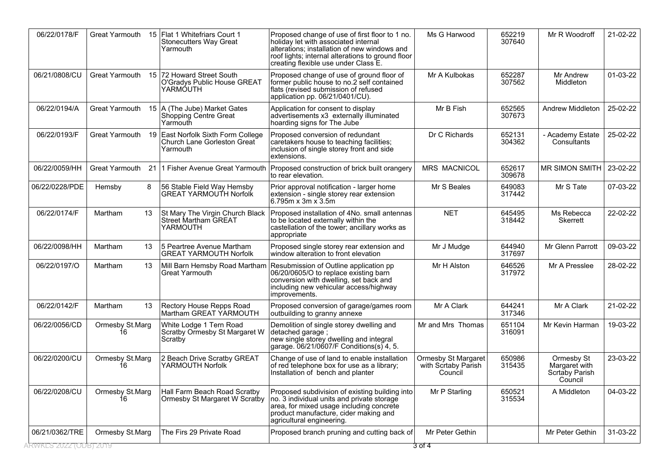| 06/22/0178/F           | Great Yarmouth        |     | 15 Flat 1 Whitefriars Court 1<br><b>Stonecutters Way Great</b><br>Yarmouth         | Proposed change of use of first floor to 1 no.<br>holiday let with associated internal<br>alterations; installation of new windows and<br>roof lights; internal alterations to ground floor<br>creating flexible use under Class E. | Ms G Harwood                                                 | 652219<br>307640 | Mr R Woodroff                                            | 21-02-22 |
|------------------------|-----------------------|-----|------------------------------------------------------------------------------------|-------------------------------------------------------------------------------------------------------------------------------------------------------------------------------------------------------------------------------------|--------------------------------------------------------------|------------------|----------------------------------------------------------|----------|
| 06/21/0808/CU          | <b>Great Yarmouth</b> |     | 15 72 Howard Street South<br>O'Gradys Public House GREAT<br>YARMÓUTH               | Proposed change of use of ground floor of<br>former public house to no.2 self contained<br>flats (revised submission of refused<br>application pp. 06/21/0401/CU).                                                                  | Mr A Kulbokas                                                | 652287<br>307562 | Mr Andrew<br>Middleton                                   | 01-03-22 |
| 06/22/0194/A           |                       |     | Great Yarmouth 15   A (The Jube) Market Gates<br>Shopping Centre Great<br>Yarmouth | Application for consent to display<br>advertisements x3 externally illuminated<br>hoarding signs for The Jube                                                                                                                       | Mr B Fish                                                    | 652565<br>307673 | Andrew Middleton                                         | 25-02-22 |
| 06/22/0193/F           | Great Yarmouth        | -19 | East Norfolk Sixth Form College<br>Church Lane Gorleston Great<br>Yarmouth         | Proposed conversion of redundant<br>caretakers house to teaching facilities;<br>inclusion of single storey front and side<br>extensions.                                                                                            | Dr C Richards                                                | 652131<br>304362 | - Academy Estate<br>Consultants                          | 25-02-22 |
| 06/22/0059/HH          | <b>Great Yarmouth</b> | 21  | 1 Fisher Avenue Great Yarmouth                                                     | Proposed construction of brick built orangery<br>to rear elevation.                                                                                                                                                                 | <b>MRS MACNICOL</b>                                          | 652617<br>309678 | MR SIMON SMITH                                           | 23-02-22 |
| 06/22/0228/PDE         | Hemsby                | 8   | 56 Stable Field Way Hemsby<br><b>GREAT YARMOUTH Norfolk</b>                        | Prior approval notification - larger home<br>extension - single storey rear extension<br>6.795m x 3m x 3.5m                                                                                                                         | Mr S Beales                                                  | 649083<br>317442 | Mr S Tate                                                | 07-03-22 |
| 06/22/0174/F           | Martham               | 13  | St Mary The Virgin Church Black<br>Street Martham GREAT<br>YARMOUTH                | Proposed installation of 4No. small antennas<br>to be located externally within the<br>castellation of the tower; ancillary works as<br>appropriate                                                                                 | <b>NET</b>                                                   | 645495<br>318442 | Ms Rebecca<br>Skerrett                                   | 22-02-22 |
| 06/22/0098/HH          | Martham               | 13  | 5 Peartree Avenue Martham<br><b>GREAT YARMOUTH Norfolk</b>                         | Proposed single storey rear extension and<br>window alteration to front elevation                                                                                                                                                   | Mr J Mudge                                                   | 644940<br>317697 | Mr Glenn Parrott                                         | 09-03-22 |
| 06/22/0197/O           | Martham               | 13  | <b>Great Yarmouth</b>                                                              | Mill Barn Hemsby Road Martham Resubmission of Outline application pp<br>06/20/0605/O to replace existing barn<br>conversion with dwelling, set back and<br>including new vehicular access/highway<br>improvements.                  | Mr H Alston                                                  | 646526<br>317972 | Mr A Presslee                                            | 28-02-22 |
| 06/22/0142/F           | Martham               | 13  | Rectory House Repps Road<br>Martham GREAT YARMOUTH                                 | Proposed conversion of garage/games room<br>outbuilding to granny annexe                                                                                                                                                            | Mr A Clark                                                   | 644241<br>317346 | Mr A Clark                                               | 21-02-22 |
| 06/22/0056/CD          | Ormesby St.Marg<br>16 |     | White Lodge 1 Tern Road<br>Scratby Ormesby St Margaret W<br>Scratby                | Demolition of single storey dwelling and<br>detached garage;<br>new single storey dwelling and integral<br>garage. 06/21/0607/F Conditions(s) 4, 5.                                                                                 | Mr and Mrs Thomas                                            | 651104<br>316091 | Mr Kevin Harman                                          | 19-03-22 |
| 06/22/0200/CU          | Ormesby St.Marg<br>16 |     | 2 Beach Drive Scratby GREAT<br>YARMOUTH Norfolk                                    | Change of use of land to enable installation<br>of red telephone box for use as a library;<br>Installation of bench and planter                                                                                                     | <b>Ormesby St Margaret</b><br>with Scrtaby Parish<br>Council | 650986<br>315435 | Ormesby St<br>Margaret with<br>Scrtaby Parish<br>Council | 23-03-22 |
| 06/22/0208/CU          | Ormesby St.Marg       |     | Hall Farm Beach Road Scratby<br>Ormesby St Margaret W Scratby                      | Proposed subdivision of existing building into<br>no. 3 individual units and private storage<br>area, for mixed usage including concrete<br>product manufacture, cider making and<br>agricultural engineering.                      | Mr P Starling                                                | 650521<br>315534 | A Middleton                                              | 04-03-22 |
| 06/21/0362/TRE         | Ormesby St.Marg       |     | The Firs 29 Private Road                                                           | Proposed branch pruning and cutting back of                                                                                                                                                                                         | Mr Peter Gethin                                              |                  | Mr Peter Gethin                                          | 31-03-22 |
| ARWKES 2022 (ODB) 2019 |                       |     |                                                                                    |                                                                                                                                                                                                                                     | 3 ठा ४                                                       |                  |                                                          |          |